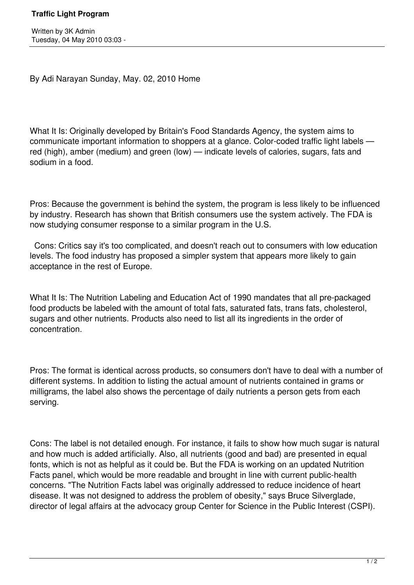By Adi Narayan Sunday, May. 02, 2010 Home

What It Is: Originally developed by Britain's Food Standards Agency, the system aims to communicate important information to shoppers at a glance. Color-coded traffic light labels red (high), amber (medium) and green (low) — indicate levels of calories, sugars, fats and sodium in a food.

Pros: Because the government is behind the system, the program is less likely to be influenced by industry. Research has shown that British consumers use the system actively. The FDA is now studying consumer response to a similar program in the U.S.

 Cons: Critics say it's too complicated, and doesn't reach out to consumers with low education levels. The food industry has proposed a simpler system that appears more likely to gain acceptance in the rest of Europe.

What It Is: The Nutrition Labeling and Education Act of 1990 mandates that all pre-packaged food products be labeled with the amount of total fats, saturated fats, trans fats, cholesterol, sugars and other nutrients. Products also need to list all its ingredients in the order of concentration.

Pros: The format is identical across products, so consumers don't have to deal with a number of different systems. In addition to listing the actual amount of nutrients contained in grams or milligrams, the label also shows the percentage of daily nutrients a person gets from each serving.

Cons: The label is not detailed enough. For instance, it fails to show how much sugar is natural and how much is added artificially. Also, all nutrients (good and bad) are presented in equal fonts, which is not as helpful as it could be. But the FDA is working on an updated Nutrition Facts panel, which would be more readable and brought in line with current public-health concerns. "The Nutrition Facts label was originally addressed to reduce incidence of heart disease. It was not designed to address the problem of obesity," says Bruce Silverglade, director of legal affairs at the advocacy group Center for Science in the Public Interest (CSPI).